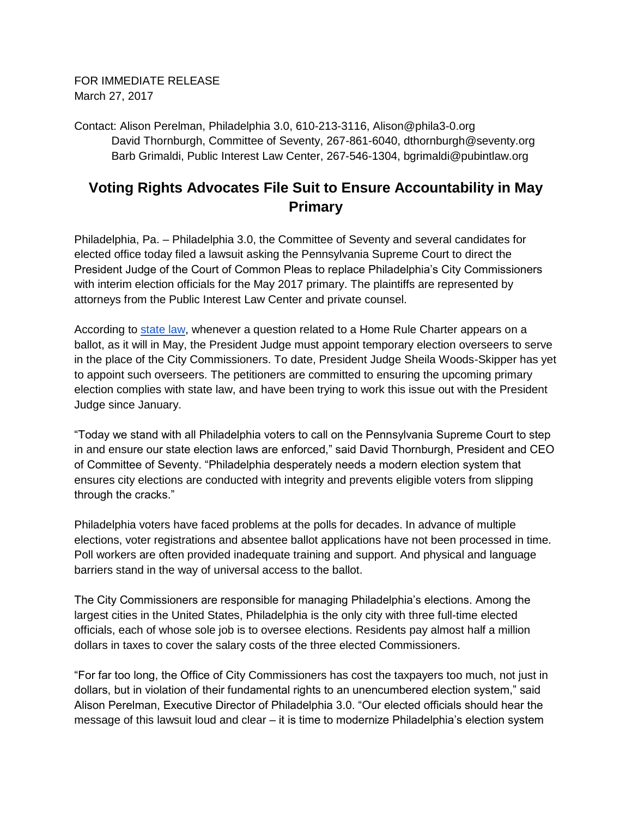FOR IMMEDIATE RELEASE March 27, 2017

Contact: Alison Perelman, Philadelphia 3.0, 610-213-3116, Alison@phila3-0.org David Thornburgh, Committee of Seventy, 267-861-6040, dthornburgh@seventy.org Barb Grimaldi, Public Interest Law Center, 267-546-1304, bgrimaldi@pubintlaw.org

## **Voting Rights Advocates File Suit to Ensure Accountability in May Primary**

Philadelphia, Pa. – Philadelphia 3.0, the Committee of Seventy and several candidates for elected office today filed a lawsuit asking the Pennsylvania Supreme Court to direct the President Judge of the Court of Common Pleas to replace Philadelphia's City Commissioners with interim election officials for the May 2017 primary. The plaintiffs are represented by attorneys from the Public Interest Law Center and private counsel.

According to [state law,](https://govt.westlaw.com/pac/Document/NEAC22EC0343011DA8A989F4EECDB8638?transitionType=Default&contextData=(sc.Default)) whenever a question related to a Home Rule Charter appears on a ballot, as it will in May, the President Judge must appoint temporary election overseers to serve in the place of the City Commissioners. To date, President Judge Sheila Woods-Skipper has yet to appoint such overseers. The petitioners are committed to ensuring the upcoming primary election complies with state law, and have been trying to work this issue out with the President Judge since January.

"Today we stand with all Philadelphia voters to call on the Pennsylvania Supreme Court to step in and ensure our state election laws are enforced," said David Thornburgh, President and CEO of Committee of Seventy. "Philadelphia desperately needs a modern election system that ensures city elections are conducted with integrity and prevents eligible voters from slipping through the cracks."

Philadelphia voters have faced problems at the polls for decades. In advance of multiple elections, voter registrations and absentee ballot applications have not been processed in time. Poll workers are often provided inadequate training and support. And physical and language barriers stand in the way of universal access to the ballot.

The City Commissioners are responsible for managing Philadelphia's elections. Among the largest cities in the United States, Philadelphia is the only city with three full-time elected officials, each of whose sole job is to oversee elections. Residents pay almost half a million dollars in taxes to cover the salary costs of the three elected Commissioners.

"For far too long, the Office of City Commissioners has cost the taxpayers too much, not just in dollars, but in violation of their fundamental rights to an unencumbered election system," said Alison Perelman, Executive Director of Philadelphia 3.0. "Our elected officials should hear the message of this lawsuit loud and clear – it is time to modernize Philadelphia's election system